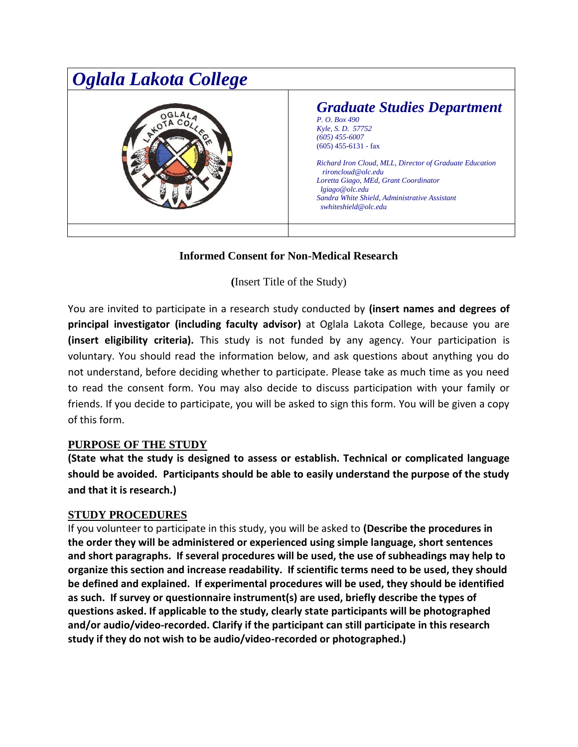

# **Informed Consent for Non-Medical Research**

**(**Insert Title of the Study)

You are invited to participate in a research study conducted by **(insert names and degrees of principal investigator (including faculty advisor)** at Oglala Lakota College, because you are **(insert eligibility criteria).** This study is not funded by any agency. Your participation is voluntary. You should read the information below, and ask questions about anything you do not understand, before deciding whether to participate. Please take as much time as you need to read the consent form. You may also decide to discuss participation with your family or friends. If you decide to participate, you will be asked to sign this form. You will be given a copy of this form.

## **PURPOSE OF THE STUDY**

**(State what the study is designed to assess or establish. Technical or complicated language should be avoided. Participants should be able to easily understand the purpose of the study and that it is research.)**

#### **STUDY PROCEDURES**

If you volunteer to participate in this study, you will be asked to **(Describe the procedures in the order they will be administered or experienced using simple language, short sentences and short paragraphs. If several procedures will be used, the use of subheadings may help to organize this section and increase readability. If scientific terms need to be used, they should be defined and explained. If experimental procedures will be used, they should be identified as such. If survey or questionnaire instrument(s) are used, briefly describe the types of questions asked. If applicable to the study, clearly state participants will be photographed and/or audio/video-recorded. Clarify if the participant can still participate in this research study if they do not wish to be audio/video-recorded or photographed.)**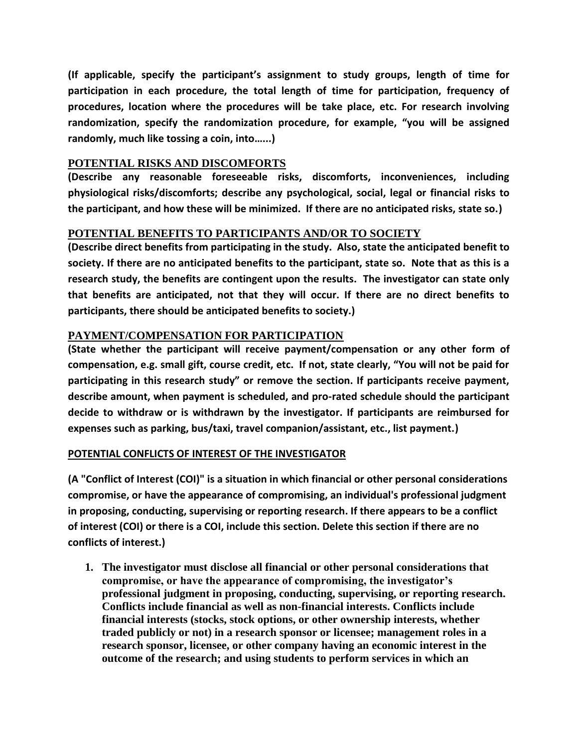**(If applicable, specify the participant's assignment to study groups, length of time for participation in each procedure, the total length of time for participation, frequency of procedures, location where the procedures will be take place, etc. For research involving randomization, specify the randomization procedure, for example, "you will be assigned randomly, much like tossing a coin, into…...)**

### **POTENTIAL RISKS AND DISCOMFORTS**

**(Describe any reasonable foreseeable risks, discomforts, inconveniences, including physiological risks/discomforts; describe any psychological, social, legal or financial risks to the participant, and how these will be minimized. If there are no anticipated risks, state so.)**

## **POTENTIAL BENEFITS TO PARTICIPANTS AND/OR TO SOCIETY**

**(Describe direct benefits from participating in the study. Also, state the anticipated benefit to society. If there are no anticipated benefits to the participant, state so. Note that as this is a research study, the benefits are contingent upon the results. The investigator can state only that benefits are anticipated, not that they will occur. If there are no direct benefits to participants, there should be anticipated benefits to society.)**

### **PAYMENT/COMPENSATION FOR PARTICIPATION**

**(State whether the participant will receive payment/compensation or any other form of compensation, e.g. small gift, course credit, etc. If not, state clearly, "You will not be paid for participating in this research study" or remove the section. If participants receive payment, describe amount, when payment is scheduled, and pro-rated schedule should the participant decide to withdraw or is withdrawn by the investigator. If participants are reimbursed for expenses such as parking, bus/taxi, travel companion/assistant, etc., list payment.)**

#### **POTENTIAL CONFLICTS OF INTEREST OF THE INVESTIGATOR**

**(A "Conflict of Interest (COI)" is a situation in which financial or other personal considerations compromise, or have the appearance of compromising, an individual's professional judgment in proposing, conducting, supervising or reporting research. If there appears to be a conflict of interest (COI) or there is a COI, include this section. Delete this section if there are no conflicts of interest.)**

**1. The investigator must disclose all financial or other personal considerations that compromise, or have the appearance of compromising, the investigator's professional judgment in proposing, conducting, supervising, or reporting research. Conflicts include financial as well as non-financial interests. Conflicts include financial interests (stocks, stock options, or other ownership interests, whether traded publicly or not) in a research sponsor or licensee; management roles in a research sponsor, licensee, or other company having an economic interest in the outcome of the research; and using students to perform services in which an**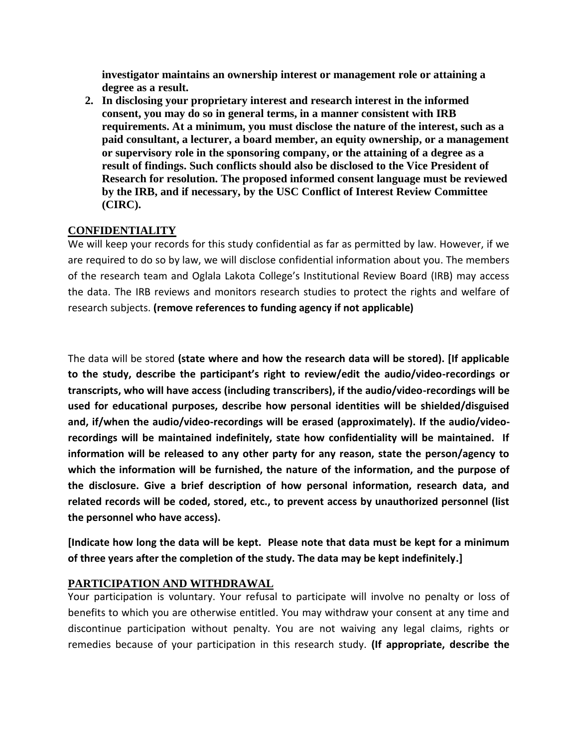**investigator maintains an ownership interest or management role or attaining a degree as a result.** 

**2. In disclosing your proprietary interest and research interest in the informed consent, you may do so in general terms, in a manner consistent with IRB requirements. At a minimum, you must disclose the nature of the interest, such as a paid consultant, a lecturer, a board member, an equity ownership, or a management or supervisory role in the sponsoring company, or the attaining of a degree as a result of findings. Such conflicts should also be disclosed to the Vice President of Research for resolution. The proposed informed consent language must be reviewed by the IRB, and if necessary, by the USC Conflict of Interest Review Committee (CIRC).**

### **CONFIDENTIALITY**

We will keep your records for this study confidential as far as permitted by law. However, if we are required to do so by law, we will disclose confidential information about you. The members of the research team and Oglala Lakota College's Institutional Review Board (IRB) may access the data. The IRB reviews and monitors research studies to protect the rights and welfare of research subjects. **(remove references to funding agency if not applicable)** 

The data will be stored **(state where and how the research data will be stored). [If applicable to the study, describe the participant's right to review/edit the audio/video-recordings or transcripts, who will have access (including transcribers), if the audio/video-recordings will be used for educational purposes, describe how personal identities will be shielded/disguised and, if/when the audio/video-recordings will be erased (approximately). If the audio/videorecordings will be maintained indefinitely, state how confidentiality will be maintained. If information will be released to any other party for any reason, state the person/agency to which the information will be furnished, the nature of the information, and the purpose of the disclosure. Give a brief description of how personal information, research data, and related records will be coded, stored, etc., to prevent access by unauthorized personnel (list the personnel who have access).** 

**[Indicate how long the data will be kept. Please note that data must be kept for a minimum of three years after the completion of the study. The data may be kept indefinitely.]** 

#### **PARTICIPATION AND WITHDRAWAL**

Your participation is voluntary. Your refusal to participate will involve no penalty or loss of benefits to which you are otherwise entitled. You may withdraw your consent at any time and discontinue participation without penalty. You are not waiving any legal claims, rights or remedies because of your participation in this research study. **(If appropriate, describe the**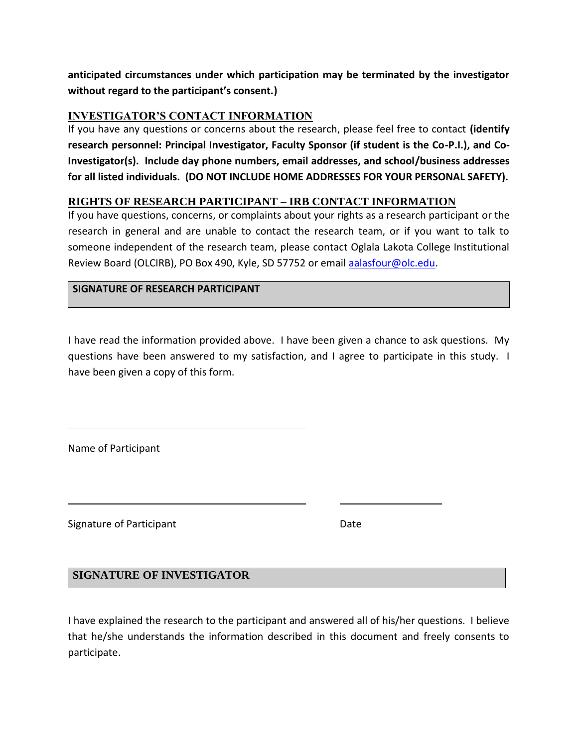**anticipated circumstances under which participation may be terminated by the investigator without regard to the participant's consent.)**

## **INVESTIGATOR'S CONTACT INFORMATION**

If you have any questions or concerns about the research, please feel free to contact **(identify research personnel: Principal Investigator, Faculty Sponsor (if student is the Co-P.I.), and Co-Investigator(s). Include day phone numbers, email addresses, and school/business addresses for all listed individuals. (DO NOT INCLUDE HOME ADDRESSES FOR YOUR PERSONAL SAFETY).** 

## **RIGHTS OF RESEARCH PARTICIPANT – IRB CONTACT INFORMATION**

If you have questions, concerns, or complaints about your rights as a research participant or the research in general and are unable to contact the research team, or if you want to talk to someone independent of the research team, please contact Oglala Lakota College Institutional Review Board (OLCIRB), PO Box 490, Kyle, SD 57752 or email [aalasfour@olc.edu.](mailto:aalasfour@olc.edu)

### **SIGNATURE OF RESEARCH PARTICIPANT**

I have read the information provided above. I have been given a chance to ask questions. My questions have been answered to my satisfaction, and I agree to participate in this study. I have been given a copy of this form.

Name of Participant

Signature of Participant **Date** Date

## **SIGNATURE OF INVESTIGATOR**

I have explained the research to the participant and answered all of his/her questions. I believe that he/she understands the information described in this document and freely consents to participate.